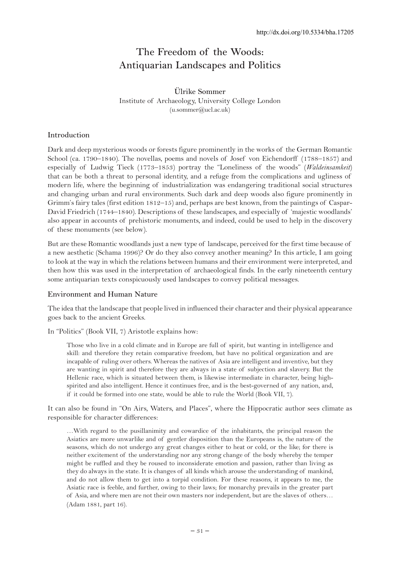# **The Freedom of the Woods: Antiquarian Landscapes and Politics**

# **Ülrike Sommer** Institute of Archaeology, University College London  $($ u.sommer@ucl.ac.uk)

# **Introduction**

Dark and deep mysterious woods or forests figure prominently in the works of the German Romantic School (ca. 1790–1840). The novellas, poems and novels of Josef von Eichendorff (1788–1857) and especially of Ludwig Tieck (1773–1853) portray the "Loneliness of the woods" (*Waldeinsamkeit*) that can be both a threat to personal identity, and a refuge from the complications and ugliness of modern life, where the beginning of industrialization was endangering traditional social structures and changing urban and rural environments. Such dark and deep woods also figure prominently in Grimm's fairy tales (first edition 1812–15) and, perhaps are best known, from the paintings of Caspar-David Friedrich (1744–1840). Descriptions of these landscapes, and especially of 'majestic woodlands' also appear in accounts of prehistoric monuments, and indeed, could be used to help in the discovery of these monuments (see below).

But are these Romantic woodlands just a new type of landscape, perceived for the first time because of a new aesthetic (Schama 1996)? Or do they also convey another meaning? In this article, I am going to look at the way in which the relations between humans and their environment were interpreted, and then how this was used in the interpretation of archaeological finds. In the early nineteenth century some antiquarian texts conspicuously used landscapes to convey political messages.

## **Environment and Human Nature**

The idea that the landscape that people lived in influenced their character and their physical appearance goes back to the ancient Greeks.

In "Politics" (Book VII, 7) Aristotle explains how:

Those who live in a cold climate and in Europe are full of spirit, but wanting in intelligence and skill: and therefore they retain comparative freedom, but have no political organization and are incapable of ruling over others. Whereas the natives of Asia are intelligent and inventive, but they are wanting in spirit and therefore they are always in a state of subjection and slavery. But the Hellenic race, which is situated between them, is likewise intermediate in character, being highspirited and also intelligent. Hence it continues free, and is the best-governed of any nation, and, if it could be formed into one state, would be able to rule the World (Book VII, 7).

It can also be found in "On Airs, Waters, and Places", where the Hippocratic author sees climate as responsible for character differences:

…With regard to the pusillanimity and cowardice of the inhabitants, the principal reason the Asiatics are more unwarlike and of gentler disposition than the Europeans is, the nature of the seasons, which do not undergo any great changes either to heat or cold, or the like; for there is neither excitement of the understanding nor any strong change of the body whereby the temper might be ruffled and they be roused to inconsiderate emotion and passion, rather than living as they do always in the state. It is changes of all kinds which arouse the understanding of mankind, and do not allow them to get into a torpid condition. For these reasons, it appears to me, the Asiatic race is feeble, and further, owing to their laws; for monarchy prevails in the greater part of Asia, and where men are not their own masters nor independent, but are the slaves of others… (Adam 1881, part 16).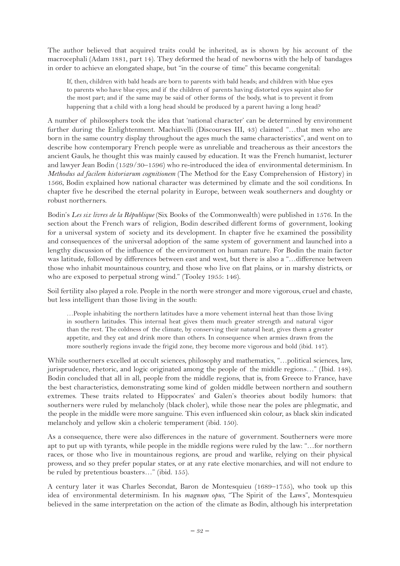The author believed that acquired traits could be inherited, as is shown by his account of the macrocephali (Adam 1881, part 14). They deformed the head of newborns with the help of bandages in order to achieve an elongated shape, but "in the course of time" this became congenital:

If, then, children with bald heads are born to parents with bald heads; and children with blue eyes to parents who have blue eyes; and if the children of parents having distorted eyes squint also for the most part; and if the same may be said of other forms of the body, what is to prevent it from happening that a child with a long head should be produced by a parent having a long head?

A number of philosophers took the idea that 'national character' can be determined by environment further during the Enlightenment. Machiavelli (Discourses III, 43) claimed "…that men who are born in the same country display throughout the ages much the same characteristics", and went on to describe how contemporary French people were as unreliable and treacherous as their ancestors the ancient Gauls, he thought this was mainly caused by education. It was the French humanist, lecturer and lawyer Jean Bodin (1529/30–1596) who re-introduced the idea of environmental determinism. In *Methodus ad facilem historiarum cognitionem* (The Method for the Easy Comprehension of History) in 1566, Bodin explained how national character was determined by climate and the soil conditions. In chapter five he described the eternal polarity in Europe, between weak southerners and doughty or robust northerners.

Bodin's *Les six livres de la République* (Six Books of the Commonwealth) were published in 1576. In the section about the French wars of religion, Bodin described different forms of government, looking for a universal system of society and its development. In chapter five he examined the possibility and consequences of the universal adoption of the same system of government and launched into a lengthy discussion of the influence of the environment on human nature. For Bodin the main factor was latitude, followed by differences between east and west, but there is also a "…difference between those who inhabit mountainous country, and those who live on flat plains, or in marshy districts, or who are exposed to perpetual strong wind." (Tooley 1955: 146).

Soil fertility also played a role. People in the north were stronger and more vigorous, cruel and chaste, but less intelligent than those living in the south:

…People inhabiting the northern latitudes have a more vehement internal heat than those living in southern latitudes. This internal heat gives them much greater strength and natural vigor than the rest. The coldness of the climate, by conserving their natural heat, gives them a greater appetite, and they eat and drink more than others. In consequence when armies drawn from the more southerly regions invade the frigid zone, they become more vigorous and bold (ibid. 147).

While southerners excelled at occult sciences, philosophy and mathematics, "…political sciences, law, jurisprudence, rhetoric, and logic originated among the people of the middle regions…" (Ibid. 148). Bodin concluded that all in all, people from the middle regions, that is, from Greece to France, have the best characteristics, demonstrating some kind of golden middle between northern and southern extremes. These traits related to Hippocrates' and Galen's theories about bodily humors: that southerners were ruled by melancholy (black choler), while those near the poles are phlegmatic, and the people in the middle were more sanguine. This even influenced skin colour, as black skin indicated melancholy and yellow skin a choleric temperament (ibid. 150).

As a consequence, there were also differences in the nature of government. Southerners were more apt to put up with tyrants, while people in the middle regions were ruled by the law: "…for northern races, or those who live in mountainous regions, are proud and warlike, relying on their physical prowess, and so they prefer popular states, or at any rate elective monarchies, and will not endure to be ruled by pretentious boasters…" (ibid. 155).

A century later it was Charles Secondat, Baron de Montesquieu (1689–1755), who took up this idea of environmental determinism. In his *magnum opus*, "The Spirit of the Laws", Montesquieu believed in the same interpretation on the action of the climate as Bodin, although his interpretation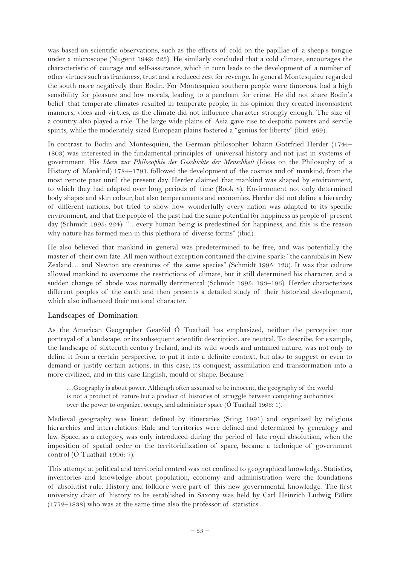was based on scientific observations, such as the effects of cold on the papillae of a sheep's tongue under a microscope (Nugent 1949: 223). He similarly concluded that a cold climate, encourages the characteristic of courage and self-assurance, which in turn leads to the development of a number of other virtues such as frankness, trust and a reduced zest for revenge. In general Montesquieu regarded the south more negatively than Bodin. For Montesquieu southern people were timorous, had a high sensibility for pleasure and low morals, leading to a penchant for crime. He did not share Bodin's belief that temperate climates resulted in temperate people, in his opinion they created inconsistent manners, vices and virtues, as the climate did not influence character strongly enough. The size of a country also played a role. The large wide plains of Asia gave rise to despotic powers and servile spirits, while the moderately sized European plains fostered a "genius for liberty" (ibid. 269).

In contrast to Bodin and Montesquieu, the German philosopher Johann Gottfried Herder (1744– 1803) was interested in the fundamental principles of universal history and not just in systems of government. His *Ideen zur Philosophie der Geschichte der Menschheit* (Ideas on the Philosophy of a History of Mankind) 1784–1791, followed the development of the cosmos and of mankind, from the most remote past until the present day. Herder claimed that mankind was shaped by environment, to which they had adapted over long periods of time (Book 8). Environment not only determined body shapes and skin colour, but also temperaments and economies. Herder did not define a hierarchy of different nations, but tried to show how wonderfully every nation was adapted to its specific environment, and that the people of the past had the same potential for happiness as people of present day (Schmidt 1995: 224): "…every human being is predestined for happiness, and this is the reason why nature has formed men in this plethora of diverse forms" (ibid).

He also believed that mankind in general was predetermined to be free, and was potentially the master of their own fate. All men without exception contained the divine spark: "the cannibals in New Zealand… and Newton are creatures of the same species" (Schmidt 1995: 120). It was that culture allowed mankind to overcome the restrictions of climate, but it still determined his character, and a sudden change of abode was normally detrimental (Schmidt 1995: 193–196). Herder characterizes different peoples of the earth and then presents a detailed study of their historical development, which also influenced their national character.

## **Landscapes of Domination**

As the American Geographer Gearóid Ó Tuathail has emphasized, neither the perception nor portrayal of a landscape, or its subsequent scientific description, are neutral. To describe, for example, the landscape of sixteenth century Ireland, and its wild woods and untamed nature, was not only to define it from a certain perspective, to put it into a definite context, but also to suggest or even to demand or justify certain actions, in this case, its conquest, assimilation and transformation into a more civilized, and in this case English, mould or shape. Because:

…Geography is about power. Although often assumed to be innocent, the geography of the world is not a product of nature but a product of histories of struggle between competing authorities over the power to organize, occupy, and administer space (Ó Tuathail 1996: 1).

Medieval geography was linear, defined by itineraries (Sting 1991) and organized by religious hierarchies and interrelations. Rule and territories were defined and determined by genealogy and law. Space, as a category, was only introduced during the period of late royal absolutism, when the imposition of spatial order or the territorialization of space, became a technique of government control (Ó Tuathail 1996: 7).

This attempt at political and territorial control was not confined to geographical knowledge. Statistics, inventories and knowledge about population, economy and administration were the foundations of absolutist rule. History and folklore were part of this new governmental knowledge. The first university chair of history to be established in Saxony was held by Carl Heinrich Ludwig Pölitz (1772–1838) who was at the same time also the professor of statistics.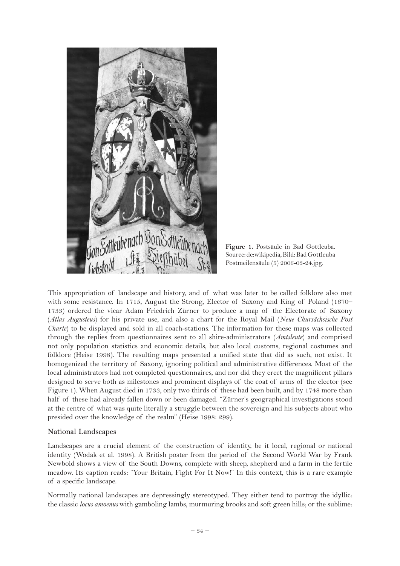

**Figure 1.** Postsäule in Bad Gottleuba. Source: de:wikipedia, Bild: Bad Gottleuba Postmeilensäule (5) 2006-03-24.jpg.

This appropriation of landscape and history, and of what was later to be called folklore also met with some resistance. In 1715, August the Strong, Elector of Saxony and King of Poland (1670– 1733) ordered the vicar Adam Friedrich Zürner to produce a map of the Electorate of Saxony (*Atlas Augusteus*) for his private use, and also a chart for the Royal Mail (*Neue Chursächsische Post Charte*) to be displayed and sold in all coach-stations. The information for these maps was collected through the replies from questionnaires sent to all shire-administrators (*Amtsleute*) and comprised not only population statistics and economic details, but also local customs, regional costumes and folklore (Heise 1998). The resulting maps presented a unified state that did as such, not exist. It homogenized the territory of Saxony, ignoring political and administrative differences. Most of the local administrators had not completed questionnaires, and nor did they erect the magnificent pillars designed to serve both as milestones and prominent displays of the coat of arms of the elector (see Figure 1). When August died in 1733, only two thirds of these had been built, and by 1748 more than half of these had already fallen down or been damaged. "Zürner's geographical investigations stood at the centre of what was quite literally a struggle between the sovereign and his subjects about who presided over the knowledge of the realm" (Heise 1998: 299).

## **National Landscapes**

Landscapes are a crucial element of the construction of identity, be it local, regional or national identity (Wodak et al. 1998). A British poster from the period of the Second World War by Frank Newbold shows a view of the South Downs, complete with sheep, shepherd and a farm in the fertile meadow. Its caption reads: "Your Britain, Fight For It Now!" In this context, this is a rare example of a specific landscape.

Normally national landscapes are depressingly stereotyped. They either tend to portray the idyllic: the classic *locus amoenus* with gamboling lambs, murmuring brooks and soft green hills; or the sublime: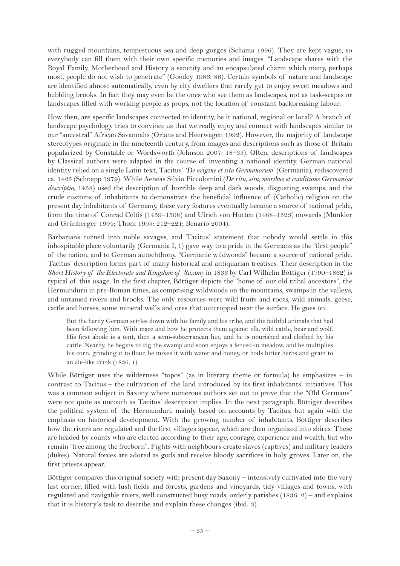with rugged mountains, tempestuous sea and deep gorges (Schama 1996). They are kept vague, so everybody can fill them with their own specific memories and images. "Landscape shares with the Royal Family, Motherhood and History a sanctity and an encapsulated charm which many, perhaps most, people do not wish to penetrate" (Goodey 1986: 86). Certain symbols of nature and landscape are identified almost automatically, even by city dwellers that rarely get to enjoy sweet meadows and bubbling brooks. In fact they may even be the ones who see them as landscapes, not as task-scapes or landscapes filled with working people as props, not the location of constant backbreaking labour.

How then, are specific landscapes connected to identity, be it national, regional or local? A branch of landscape psychology tries to convince us that we really enjoy and connect with landscapes similar to our "ancestral" African Savannahs (Orians and Heerwagen 1992). However, the majority of landscape stereotypes originate in the nineteenth century, from images and descriptions such as those of Britain popularized by Constable or Wordsworth (Johnson 2007: 18–33). Often, descriptions of landscapes by Classical authors were adapted in the course of inventing a national identity. German national identity relied on a single Latin text, Tacitus' *'De origine et situ Germanorum'* (Germania), rediscovered ca. 1425 (Schnapp 1979). While Aeneas Silvio Piccolomini (*De ritu, situ, moribus et conditione Germaniae descriptio*, 1458) used the description of horrible deep and dark woods, disgusting swamps, and the crude customs of inhabitants to demonstrate the beneficial influence of (Catholic) religion on the present day inhabitants of Germany, these very features eventually became a source of national pride, from the time of Conrad Celtis (1459–1508) and Ulrich von Hutten (1488–1523) onwards (Münkler and Grünberger 1994; Thom 1995: 212–221; Benario 2004).

Barbarians turned into noble savages, and Tacitus' statement that nobody would settle in this inhospitable place voluntarily (Germania I, 1) gave way to a pride in the Germans as the "first people" of the nation, and to German autochthony. "Germanic wildwoods" became a source of national pride. Tacitus' description forms part of many historical and antiquarian treatises. Their description in the *Short History of the Electorate and Kingdom of Saxony* in 1836 by Carl Wilhelm Böttiger (1790–1862) is typical of this usage. In the first chapter, Böttiger depicts the "home of our old tribal ancestors", the Hermundurii in pre-Roman times, as comprising wildwoods on the mountains, swamps in the valleys, and untamed rivers and brooks. The only resources were wild fruits and roots, wild animals, geese, cattle and horses, some mineral wells and ores that outcropped near the surface. He goes on:

But the hardy German settles down with his family and his tribe, and the faithful animals that had been following him. With mace and bow he protects them against elk, wild cattle, bear and wolf. His first abode is a tent, then a semi-subterranean hut, and he is nourished and clothed by his cattle. Nearby, he begins to dig the swamp and soon enjoys a fenced-in meadow, and he multiplies his corn, grinding it to flour, he mixes it with water and honey, or boils bitter herbs and grain to an ale-like drink (1836, 1).

While Böttiger uses the wilderness "topos" (as in literary theme or formula) he emphasizes – in contrast to Tacitus – the cultivation of the land introduced by its first inhabitants' initiatives. This was a common subject in Saxony where numerous authors set out to prove that the "Old Germans" were not quite as uncouth as Tacitus' description implies. In the next paragraph, Böttiger describes the political system of the Hermunduri, mainly based on accounts by Tacitus, but again with the emphasis on historical development. With the growing number of inhabitants, Böttiger describes how the rivers are regulated and the first villages appear, which are then organized into shires. These are headed by counts who are elected according to their age, courage, experience and wealth, but who remain "free among the freeborn". Fights with neighbours create slaves (captives) and military leaders (dukes). Natural forces are adored as gods and receive bloody sacrifices in holy groves. Later on, the first priests appear.

Böttiger compares this original society with present day Saxony – intensively cultivated into the very last corner, filled with lush fields and forests, gardens and vineyards, tidy villages and towns, with regulated and navigable rivers, well constructed busy roads, orderly parishes (1836: 2) – and explains that it is history's task to describe and explain these changes (ibid. 3).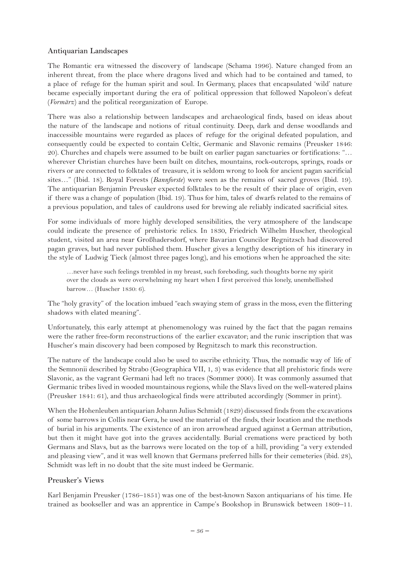## **Antiquarian Landscapes**

The Romantic era witnessed the discovery of landscape (Schama 1996). Nature changed from an inherent threat, from the place where dragons lived and which had to be contained and tamed, to a place of refuge for the human spirit and soul. In Germany, places that encapsulated 'wild' nature became especially important during the era of political oppression that followed Napoleon's defeat (*Vormärz*) and the political reorganization of Europe.

There was also a relationship between landscapes and archaeological finds, based on ideas about the nature of the landscape and notions of ritual continuity. Deep, dark and dense woodlands and inaccessible mountains were regarded as places of refuge for the original defeated population, and consequently could be expected to contain Celtic, Germanic and Slavonic remains (Preusker 1846: 20). Churches and chapels were assumed to be built on earlier pagan sanctuaries or fortifications: "… wherever Christian churches have been built on ditches, mountains, rock-outcrops, springs, roads or rivers or are connected to folktales of treasure, it is seldom wrong to look for ancient pagan sacrificial sites…" (Ibid. 18). Royal Forests (*Bannforste*) were seen as the remains of sacred groves (Ibid. 19). The antiquarian Benjamin Preusker expected folktales to be the result of their place of origin, even if there was a change of population (Ibid. 19). Thus for him, tales of dwarfs related to the remains of a previous population, and tales of cauldrons used for brewing ale reliably indicated sacrificial sites.

For some individuals of more highly developed sensibilities, the very atmosphere of the landscape could indicate the presence of prehistoric relics. In 1830, Friedrich Wilhelm Huscher, theological student, visited an area near Großhadersdorf, where Bavarian Councilor Regnitzsch had discovered pagan graves, but had never published them. Huscher gives a lengthy description of his itinerary in the style of Ludwig Tieck (almost three pages long), and his emotions when he approached the site:

…never have such feelings trembled in my breast, such foreboding, such thoughts borne my spirit over the clouds as were overwhelming my heart when I first perceived this lonely, unembellished barrow… (Huscher 1830: 6).

The "holy gravity" of the location imbued "each swaying stem of grass in the moss, even the flittering shadows with elated meaning".

Unfortunately, this early attempt at phenomenology was ruined by the fact that the pagan remains were the rather free-form reconstructions of the earlier excavator; and the runic inscription that was Huscher's main discovery had been composed by Regnitzsch to mark this reconstruction.

The nature of the landscape could also be used to ascribe ethnicity. Thus, the nomadic way of life of the Semnonii described by Strabo (Geographica VII, 1, 3) was evidence that all prehistoric finds were Slavonic, as the vagrant Germani had left no traces (Sommer 2000). It was commonly assumed that Germanic tribes lived in wooded mountainous regions, while the Slavs lived on the well-watered plains (Preusker 1841: 61), and thus archaeological finds were attributed accordingly (Sommer in print).

When the Hohenleuben antiquarian Johann Julius Schmidt (1829) discussed finds from the excavations of some barrows in Collis near Gera, he used the material of the finds, their location and the methods of burial in his arguments. The existence of an iron arrowhead argued against a German attribution, but then it might have got into the graves accidentally. Burial cremations were practiced by both Germans and Slavs, but as the barrows were located on the top of a hill, providing "a very extended and pleasing view", and it was well known that Germans preferred hills for their cemeteries (ibid. 28), Schmidt was left in no doubt that the site must indeed be Germanic.

## **Preusker's Views**

Karl Benjamin Preusker (1786–1851) was one of the best-known Saxon antiquarians of his time. He trained as bookseller and was an apprentice in Campe's Bookshop in Brunswick between 1809–11.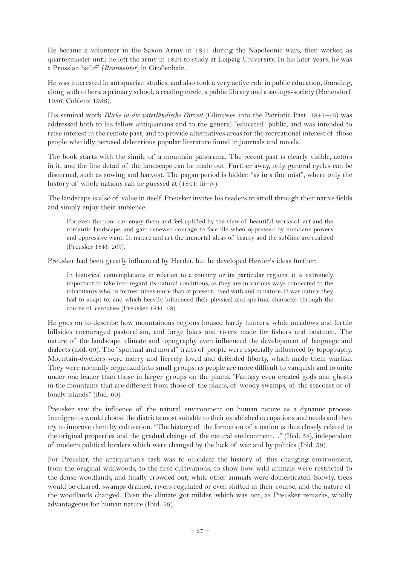He became a volunteer in the Saxon Army in 1811 during the Napoleonic wars, then worked as quartermaster until he left the army in 1824 to study at Leipzig University. In his later years, he was a Prussian bailiff (*Rentmeister*) in Großenhain.

He was interested in antiquarian studies, and also took a very active role in public education, founding, along with others, a primary school, a reading circle, a public library and a savings-society (Hohendorf 1986; Coblenz 1986).

His seminal work *Blicke in die vaterländische Vorzeit* (Glimpses into the Patriotic Past, 1841–46) was addressed both to his fellow antiquarians and to the general "educated" public, and was intended to raise interest in the remote past, and to provide alternatives areas for the recreational interest of those people who idly perused deleterious popular literature found in journals and novels.

The book starts with the simile of a mountain panorama. The recent past is clearly visible, actors in it, and the fine detail of the landscape can be made out. Further away, only general cycles can be discerned, such as sowing and harvest. The pagan period is hidden "as in a fine mist", where only the history of whole nations can be guessed at (1841: iii–iv).

The landscape is also of value in itself. Preusker invites his readers to stroll through their native fields and simply enjoy their ambience:

For even the poor can enjoy them and feel uplifted by the view of beautiful works of art and the romantic landscape, and gain renewed courage to face life when oppressed by mundane powers and oppressive want. In nature and art the immortal ideas of beauty and the sublime are realized (Preusker 1841: 209).

Preusker had been greatly influenced by Herder, but he developed Herder's ideas further:

In historical contemplations in relation to a country or its particular regions, it is extremely important to take into regard its natural conditions, as they are in various ways connected to the inhabitants who, in former times more than at present, lived with and in nature. It was nature they had to adapt to, and which heavily influenced their physical and spiritual character through the course of centuries (Preusker 1841: 58).

He goes on to describe how mountainous regions housed hardy hunters, while meadows and fertile hillsides encouraged pastoralism, and large lakes and rivers made for fishers and boatmen. The nature of the landscape, climate and topography even influenced the development of language and dialects (ibid. 60). The "spiritual and moral" traits of people were especially influenced by topography. Mountain-dwellers were merry and fiercely loved and defended liberty, which made them warlike. They were normally organized into small groups, as people are more difficult to vanquish and to unite under one leader than those in larger groups on the plains. "Fantasy even created gods and ghosts in the mountains that are different from those of the plains, of woody swamps, of the seacoast or of lonely islands" (ibid. 60).

Preusker saw the influence of the natural environment on human nature as a dynamic process. Immigrants would choose the districts most suitable to their established occupations and needs and then try to improve them by cultivation. "The history of the formation of a nation is thus closely related to the original properties and the gradual change of the natural environment…" (Ibid. 58), independent of modern political borders which were changed by the luck of war and by politics (Ibid. 59).

For Preusker, the antiquarian's task was to elucidate the history of this changing environment, from the original wildwoods, to the first cultivations, to show how wild animals were restricted to the dense woodlands, and finally crowded out, while other animals were domesticated. Slowly, trees would be cleared, swamps drained, rivers regulated or even shifted in their course, and the nature of the woodlands changed. Even the climate got milder, which was not, as Preusker remarks, wholly advantageous for human nature (Ibid. 59).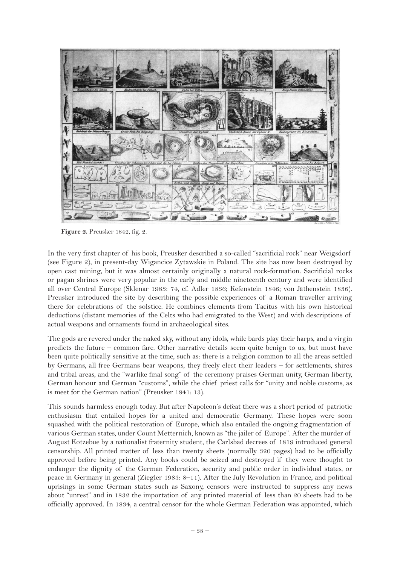

**Figure 2.** Preusker 1842, fig. 2.

In the very first chapter of his book, Preusker described a so-called "sacrificial rock" near Weigsdorf (see Figure 2), in present-day Wigancice Zytawskie in Poland. The site has now been destroyed by open cast mining, but it was almost certainly originally a natural rock-formation. Sacrificial rocks or pagan shrines were very popular in the early and middle nineteenth century and were identified all over Central Europe (Sklenar 1983: 74, cf. Adler 1836; Kefenstein 1846; von Jäthenstein 1836). Preusker introduced the site by describing the possible experiences of a Roman traveller arriving there for celebrations of the solstice. He combines elements from Tacitus with his own historical deductions (distant memories of the Celts who had emigrated to the West) and with descriptions of actual weapons and ornaments found in archaeological sites.

The gods are revered under the naked sky, without any idols, while bards play their harps, and a virgin predicts the future – common fare. Other narrative details seem quite benign to us, but must have been quite politically sensitive at the time, such as: there is a religion common to all the areas settled by Germans, all free Germans bear weapons, they freely elect their leaders – for settlements, shires and tribal areas, and the "warlike final song" of the ceremony praises German unity, German liberty, German honour and German "customs", while the chief priest calls for "unity and noble customs, as is meet for the German nation" (Preusker 1841: 13).

This sounds harmless enough today. But after Napoleon's defeat there was a short period of patriotic enthusiasm that entailed hopes for a united and democratic Germany. These hopes were soon squashed with the political restoration of Europe, which also entailed the ongoing fragmentation of various German states, under Count Metternich, known as "the jailer of Europe". After the murder of August Kotzebue by a nationalist fraternity student, the Carlsbad decrees of 1819 introduced general censorship. All printed matter of less than twenty sheets (normally 320 pages) had to be officially approved before being printed. Any books could be seized and destroyed if they were thought to endanger the dignity of the German Federation, security and public order in individual states, or peace in Germany in general (Ziegler 1983: 8–11). After the July Revolution in France, and political uprisings in some German states such as Saxony, censors were instructed to suppress any news about "unrest" and in 1832 the importation of any printed material of less than 20 sheets had to be officially approved. In 1834, a central censor for the whole German Federation was appointed, which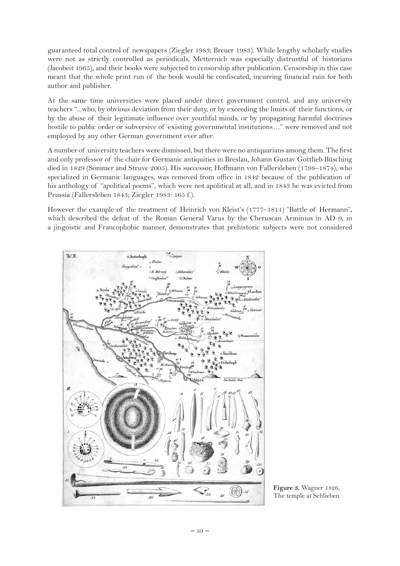guaranteed total control of newspapers (Ziegler 1983; Breuer 1983). While lengthy scholarly studies were not as strictly controlled as periodicals, Metternich was especially distrustful of historians (Jacobeit 1965), and their books were subjected to censorship after publication. Censorship in this case meant that the whole print run of the book would be confiscated, incurring financial ruin for both author and publisher.

At the same time universities were placed under direct government control, and any university teachers "...who, by obvious deviation from their duty, or by exceeding the limits of their functions, or by the abuse of their legitimate influence over youthful minds, or by propagating harmful doctrines hostile to public order or subversive of existing governmental institutions…" were removed and not employed by any other German government ever after.

A number of university teachers were dismissed, but there were no antiquarians among them. The first and only professor of the chair for Germanic antiquities in Breslau, Johann Gustav Gottlieb Büsching died in 1829 (Sommer and Struve 2005). His successor, Hoffmann von Fallersleben (1798–1874), who specialized in Germanic languages, was removed from office in 1842 because of the publication of his anthology of "apolitical poems", which were not apolitical at all, and in 1843 he was evicted from Prussia (Fallersleben 1843; Ziegler 1983: 165 f.).

However the example of the treatment of Heinrich von Kleist's (1777–1811) "Battle of Hermann", which described the defeat of the Roman General Varus by the Cheruscan Arminius in AD 9, in a jingoistic and Francophobic manner, demonstrates that prehistoric subjects were not considered



**Figure 3.** Wagner 1826, The temple at Schlieben.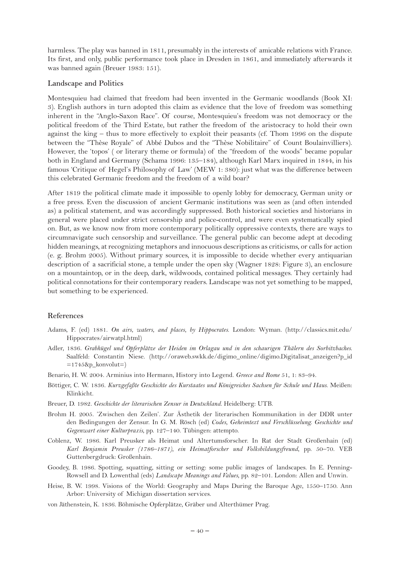harmless. The play was banned in 1811, presumably in the interests of amicable relations with France. Its first, and only, public performance took place in Dresden in 1861, and immediately afterwards it was banned again (Breuer 1983: 151).

#### **Landscape and Politics**

Montesquieu had claimed that freedom had been invented in the Germanic woodlands (Book XI: 3). English authors in turn adopted this claim as evidence that the love of freedom was something inherent in the "Anglo-Saxon Race". Of course, Montesquieu's freedom was not democracy or the political freedom of the Third Estate, but rather the freedom of the aristocracy to hold their own against the king – thus to more effectively to exploit their peasants (cf. Thom 1996 on the dispute between the "Thèse Royale" of Abbé Dubos and the "Thèse Nobilitaire" of Count Boulainvilliers). However, the 'topos' ( or literary theme or formula) of the "freedom of the woods" became popular both in England and Germany (Schama 1996: 135–184), although Karl Marx inquired in 1844, in his famous 'Critique of Hegel's Philosophy of Law' (MEW 1: 380): just what was the difference between this celebrated Germanic freedom and the freedom of a wild boar?

After 1819 the political climate made it impossible to openly lobby for democracy, German unity or a free press. Even the discussion of ancient Germanic institutions was seen as (and often intended as) a political statement, and was accordingly suppressed. Both historical societies and historians in general were placed under strict censorship and police-control, and were even systematically spied on. But, as we know now from more contemporary politically oppressive contexts, there are ways to circumnavigate such censorship and surveillance. The general public can become adept at decoding hidden meanings, at recognizing metaphors and innocuous descriptions as criticisms, or calls for action (e. g. Brohm 2005). Without primary sources, it is impossible to decide whether every antiquarian description of a sacrificial stone, a temple under the open sky (Wagner 1828: Figure 3), an enclosure on a mountaintop, or in the deep, dark, wildwoods, contained political messages. They certainly had political connotations for their contemporary readers. Landscape was not yet something to be mapped, but something to be experienced.

#### **References**

- Adams, F. (ed) 1881. *On airs, waters, and places, by Hippocrates*. London: Wyman. (http://classics.mit.edu/ Hippocrates/airwatpl.html)
- Adler, 1836. *Grabhügel und Opferplätze der Heiden im Orlagau und in den schaurigen Thälern des Sorbitzbaches*. Saalfeld: Constantin Niese. (http://oraweb.swkk.de/digimo\_online/digimo.Digitalisat\_anzeigen?p\_id  $=1745$ &p\_konvolut=)
- Benario, H. W. 2004. Arminius into Hermann, History into Legend. *Greece and Rome* 51, 1: 83–94.
- Böttiger, C. W. 1836. *Kurzgefaßte Geschichte des Kurstaates und Königreiches Sachsen für Schule und Haus*. Meißen: Klinkicht.
- Breuer, D. 1982. *Geschichte der literarischen Zensur in Deutschland*. Heidelberg: UTB.
- Brohm H. 2005. 'Zwischen den Zeilen'. Zur Ästhetik der literarischen Kommunikation in der DDR unter den Bedingungen der Zensur. In G. M. Rösch (ed) *Codes, Geheimtext und Verschlüsselung. Geschichte und Gegenwart einer Kulturpraxis*, pp. 127–140. Tübingen: attempto.
- Coblenz, W. 1986. Karl Preusker als Heimat und Altertumsforscher. In Rat der Stadt Großenhain (ed) *Karl Benjamin Preusker (1786–1871), ein Heimatforscher und Volksbildungsfreund*, pp. 50–70. VEB Guttenbergdruck: Großenhain.
- Goodey, B. 1986. Spotting, squatting, sitting or setting: some public images of landscapes. In E. Penning-Rowsell and D. Lowenthal (eds) *Landscape Meanings and Values*, pp. 82–101. London: Allen and Unwin.
- Heise, B. W. 1998. Visions of the World: Geography and Maps During the Baroque Age, 1550–1750. Ann Arbor: University of Michigan dissertation services.
- von Jäthenstein, K. 1836. Böhmische Opferplätze, Gräber und Alterthümer Prag.